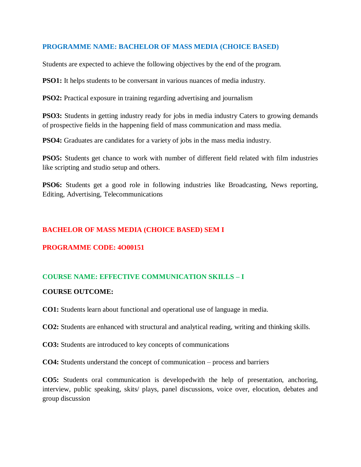### **PROGRAMME NAME: BACHELOR OF MASS MEDIA (CHOICE BASED)**

Students are expected to achieve the following objectives by the end of the program.

**PSO1:** It helps students to be conversant in various nuances of media industry.

**PSO2:** Practical exposure in training regarding advertising and journalism

**PSO3:** Students in getting industry ready for jobs in media industry Caters to growing demands of prospective fields in the happening field of mass communication and mass media.

**PSO4:** Graduates are candidates for a variety of jobs in the mass media industry.

**PSO5:** Students get chance to work with number of different field related with film industries like scripting and studio setup and others.

**PSO6:** Students get a good role in following industries like Broadcasting, News reporting, Editing, Advertising, Telecommunications

### **BACHELOR OF MASS MEDIA (CHOICE BASED) SEM I**

#### **PROGRAMME CODE: 4O00151**

#### **COURSE NAME: EFFECTIVE COMMUNICATION SKILLS – I**

#### **COURSE OUTCOME:**

**CO1:** Students learn about functional and operational use of language in media.

**CO2:** Students are enhanced with structural and analytical reading, writing and thinking skills.

**CO3:** Students are introduced to key concepts of communications

**CO4:** Students understand the concept of communication – process and barriers

**CO5:** Students oral communication is developedwith the help of presentation, anchoring, interview, public speaking, skits/ plays, panel discussions, voice over, elocution, debates and group discussion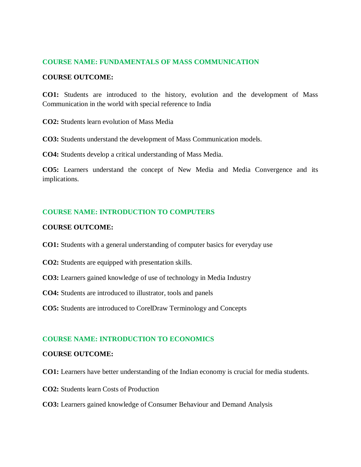### **COURSE NAME: FUNDAMENTALS OF MASS COMMUNICATION**

#### **COURSE OUTCOME:**

**CO1:** Students are introduced to the history, evolution and the development of Mass Communication in the world with special reference to India

**CO2:** Students learn evolution of Mass Media

**CO3:** Students understand the development of Mass Communication models.

**CO4:** Students develop a critical understanding of Mass Media.

**CO5:** Learners understand the concept of New Media and Media Convergence and its implications.

# **COURSE NAME: INTRODUCTION TO COMPUTERS**

### **COURSE OUTCOME:**

**CO1:** Students with a general understanding of computer basics for everyday use

- **CO2:** Students are equipped with presentation skills.
- **CO3:** Learners gained knowledge of use of technology in Media Industry
- **CO4:** Students are introduced to illustrator, tools and panels

**CO5:** Students are introduced to CorelDraw Terminology and Concepts

### **COURSE NAME: INTRODUCTION TO ECONOMICS**

### **COURSE OUTCOME:**

**CO1:** Learners have better understanding of the Indian economy is crucial for media students.

- **CO2:** Students learn Costs of Production
- **CO3:** Learners gained knowledge of Consumer Behaviour and Demand Analysis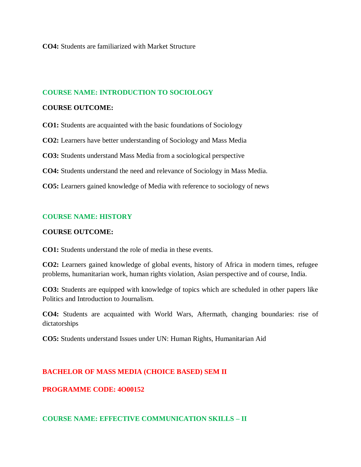#### **COURSE NAME: INTRODUCTION TO SOCIOLOGY**

#### **COURSE OUTCOME:**

**CO1:** Students are acquainted with the basic foundations of Sociology

**CO2:** Learners have better understanding of Sociology and Mass Media

**CO3:** Students understand Mass Media from a sociological perspective

**CO4:** Students understand the need and relevance of Sociology in Mass Media.

**CO5:** Learners gained knowledge of Media with reference to sociology of news

#### **COURSE NAME: HISTORY**

#### **COURSE OUTCOME:**

**CO1:** Students understand the role of media in these events.

**CO2:** Learners gained knowledge of global events, history of Africa in modern times, refugee problems, humanitarian work, human rights violation, Asian perspective and of course, India.

**CO3:** Students are equipped with knowledge of topics which are scheduled in other papers like Politics and Introduction to Journalism.

**CO4:** Students are acquainted with World Wars, Aftermath, changing boundaries: rise of dictatorships

**CO5:** Students understand Issues under UN: Human Rights, Humanitarian Aid

### **BACHELOR OF MASS MEDIA (CHOICE BASED) SEM II**

**PROGRAMME CODE: 4O00152**

**COURSE NAME: EFFECTIVE COMMUNICATION SKILLS – II**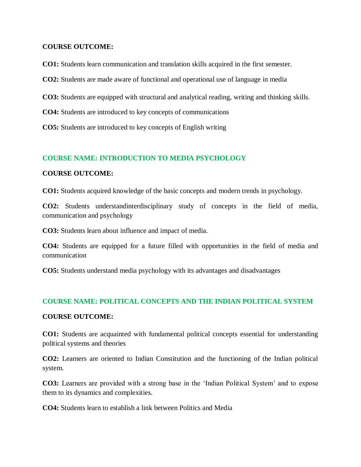#### **COURSE OUTCOME:**

**CO1:** Students learn communication and translation skills acquired in the first semester.

**CO2:** Students are made aware of functional and operational use of language in media

**CO3:** Students are equipped with structural and analytical reading, writing and thinking skills.

- **CO4:** Students are introduced to key concepts of communications
- **CO5:** Students are introduced to key concepts of English writing

# **COURSE NAME: INTRODUCTION TO MEDIA PSYCHOLOGY**

### **COURSE OUTCOME:**

**CO1:** Students acquired knowledge of the basic concepts and modern trends in psychology.

**CO2:** Students understandinterdisciplinary study of concepts in the field of media, communication and psychology

**CO3:** Students learn about influence and impact of media.

**CO4:** Students are equipped for a future filled with opportunities in the field of media and communication

**CO5:** Students understand media psychology with its advantages and disadvantages

### **COURSE NAME: POLITICAL CONCEPTS AND THE INDIAN POLITICAL SYSTEM**

#### **COURSE OUTCOME:**

**CO1:** Students are acquainted with fundamental political concepts essential for understanding political systems and theories

**CO2:** Learners are oriented to Indian Constitution and the functioning of the Indian political system.

**CO3:** Learners are provided with a strong base in the 'Indian Political System' and to expose them to its dynamics and complexities.

**CO4:** Students learn to establish a link between Politics and Media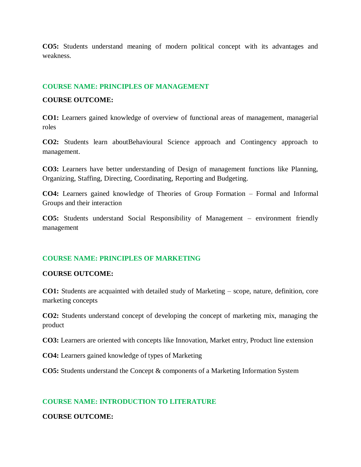**CO5:** Students understand meaning of modern political concept with its advantages and weakness.

#### **COURSE NAME: PRINCIPLES OF MANAGEMENT**

#### **COURSE OUTCOME:**

**CO1:** Learners gained knowledge of overview of functional areas of management, managerial roles

**CO2:** Students learn aboutBehavioural Science approach and Contingency approach to management.

**CO3:** Learners have better understanding of Design of management functions like Planning, Organizing, Staffing, Directing, Coordinating, Reporting and Budgeting.

**CO4:** Learners gained knowledge of Theories of Group Formation – Formal and Informal Groups and their interaction

**CO5:** Students understand Social Responsibility of Management – environment friendly management

#### **COURSE NAME: PRINCIPLES OF MARKETING**

#### **COURSE OUTCOME:**

**CO1:** Students are acquainted with detailed study of Marketing – scope, nature, definition, core marketing concepts

**CO2:** Students understand concept of developing the concept of marketing mix, managing the product

**CO3:** Learners are oriented with concepts like Innovation, Market entry, Product line extension

**CO4:** Learners gained knowledge of types of Marketing

**CO5:** Students understand the Concept & components of a Marketing Information System

### **COURSE NAME: INTRODUCTION TO LITERATURE**

#### **COURSE OUTCOME:**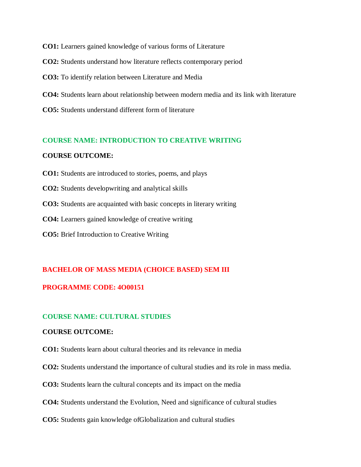**CO1:** Learners gained knowledge of various forms of Literature

- **CO2:** Students understand how literature reflects contemporary period
- **CO3:** To identify relation between Literature and Media
- **CO4:** Students learn about relationship between modern media and its link with literature
- **CO5:** Students understand different form of literature

#### **COURSE NAME: INTRODUCTION TO CREATIVE WRITING**

#### **COURSE OUTCOME:**

- **CO1:** Students are introduced to stories, poems, and plays
- **CO2:** Students developwriting and analytical skills
- **CO3:** Students are acquainted with basic concepts in literary writing
- **CO4:** Learners gained knowledge of creative writing
- **CO5:** Brief Introduction to Creative Writing

#### **BACHELOR OF MASS MEDIA (CHOICE BASED) SEM III**

#### **PROGRAMME CODE: 4O00151**

#### **COURSE NAME: CULTURAL STUDIES**

#### **COURSE OUTCOME:**

- **CO1:** Students learn about cultural theories and its relevance in media
- **CO2:** Students understand the importance of cultural studies and its role in mass media.
- **CO3:** Students learn the cultural concepts and its impact on the media
- **CO4:** Students understand the Evolution, Need and significance of cultural studies
- **CO5:** Students gain knowledge ofGlobalization and cultural studies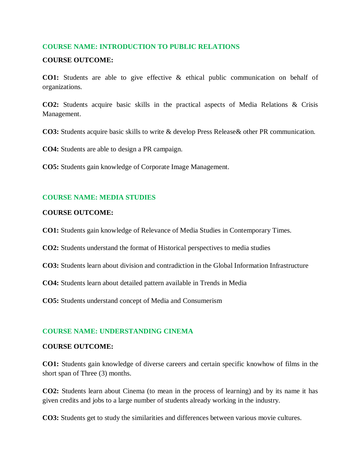### **COURSE NAME: INTRODUCTION TO PUBLIC RELATIONS**

#### **COURSE OUTCOME:**

**CO1:** Students are able to give effective & ethical public communication on behalf of organizations.

**CO2:** Students acquire basic skills in the practical aspects of Media Relations & Crisis Management.

**CO3:** Students acquire basic skills to write & develop Press Release& other PR communication.

**CO4:** Students are able to design a PR campaign.

**CO5:** Students gain knowledge of Corporate Image Management.

### **COURSE NAME: MEDIA STUDIES**

### **COURSE OUTCOME:**

**CO1:** Students gain knowledge of Relevance of Media Studies in Contemporary Times.

**CO2:** Students understand the format of Historical perspectives to media studies

- **CO3:** Students learn about division and contradiction in the Global Information Infrastructure
- **CO4:** Students learn about detailed pattern available in Trends in Media
- **CO5:** Students understand concept of Media and Consumerism

### **COURSE NAME: UNDERSTANDING CINEMA**

#### **COURSE OUTCOME:**

**CO1:** Students gain knowledge of diverse careers and certain specific knowhow of films in the short span of Three (3) months.

**CO2:** Students learn about Cinema (to mean in the process of learning) and by its name it has given credits and jobs to a large number of students already working in the industry.

**CO3:** Students get to study the similarities and differences between various movie cultures.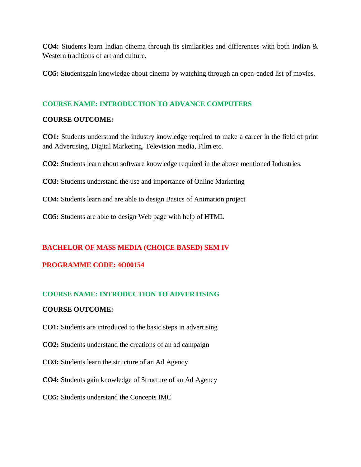**CO4:** Students learn Indian cinema through its similarities and differences with both Indian & Western traditions of art and culture.

**CO5:** Studentsgain knowledge about cinema by watching through an open-ended list of movies.

# **COURSE NAME: INTRODUCTION TO ADVANCE COMPUTERS**

### **COURSE OUTCOME:**

**CO1:** Students understand the industry knowledge required to make a career in the field of print and Advertising, Digital Marketing, Television media, Film etc.

**CO2:** Students learn about software knowledge required in the above mentioned Industries.

**CO3:** Students understand the use and importance of Online Marketing

**CO4:** Students learn and are able to design Basics of Animation project

**CO5:** Students are able to design Web page with help of HTML

### **BACHELOR OF MASS MEDIA (CHOICE BASED) SEM IV**

### **PROGRAMME CODE: 4O00154**

### **COURSE NAME: INTRODUCTION TO ADVERTISING**

### **COURSE OUTCOME:**

**CO1:** Students are introduced to the basic steps in advertising

- **CO2:** Students understand the creations of an ad campaign
- **CO3:** Students learn the structure of an Ad Agency
- **CO4:** Students gain knowledge of Structure of an Ad Agency
- **CO5:** Students understand the Concepts IMC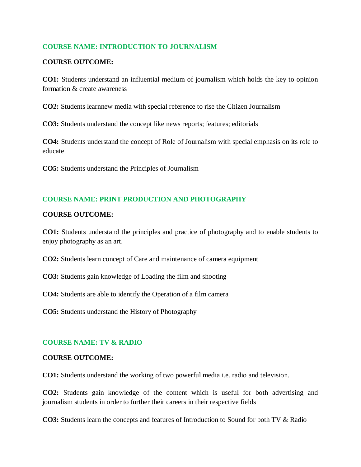# **COURSE NAME: INTRODUCTION TO JOURNALISM**

## **COURSE OUTCOME:**

**CO1:** Students understand an influential medium of journalism which holds the key to opinion formation & create awareness

**CO2:** Students learnnew media with special reference to rise the Citizen Journalism

**CO3:** Students understand the concept like news reports; features; editorials

**CO4:** Students understand the concept of Role of Journalism with special emphasis on its role to educate

**CO5:** Students understand the Principles of Journalism

# **COURSE NAME: PRINT PRODUCTION AND PHOTOGRAPHY**

### **COURSE OUTCOME:**

**CO1:** Students understand the principles and practice of photography and to enable students to enjoy photography as an art.

**CO2:** Students learn concept of Care and maintenance of camera equipment

**CO3:** Students gain knowledge of Loading the film and shooting

**CO4:** Students are able to identify the Operation of a film camera

**CO5:** Students understand the History of Photography

### **COURSE NAME: TV & RADIO**

#### **COURSE OUTCOME:**

**CO1:** Students understand the working of two powerful media i.e. radio and television.

**CO2:** Students gain knowledge of the content which is useful for both advertising and journalism students in order to further their careers in their respective fields

**CO3:** Students learn the concepts and features of Introduction to Sound for both TV & Radio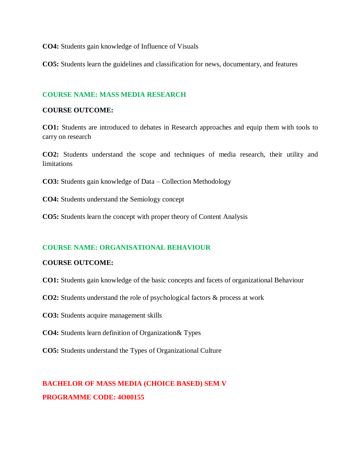**CO4:** Students gain knowledge of Influence of Visuals

**CO5:** Students learn the guidelines and classification for news, documentary, and features

#### **COURSE NAME: MASS MEDIA RESEARCH**

#### **COURSE OUTCOME:**

**CO1:** Students are introduced to debates in Research approaches and equip them with tools to carry on research

**CO2:** Students understand the scope and techniques of media research, their utility and **limitations** 

**CO3:** Students gain knowledge of Data – Collection Methodology

**CO4:** Students understand the Semiology concept

**CO5:** Students learn the concept with proper theory of Content Analysis

#### **COURSE NAME: ORGANISATIONAL BEHAVIOUR**

#### **COURSE OUTCOME:**

- **CO1:** Students gain knowledge of the basic concepts and facets of organizational Behaviour
- **CO2:** Students understand the role of psychological factors & process at work
- **CO3:** Students acquire management skills
- **CO4:** Students learn definition of Organization& Types
- **CO5:** Students understand the Types of Organizational Culture

# **BACHELOR OF MASS MEDIA (CHOICE BASED) SEM V PROGRAMME CODE: 4O00155**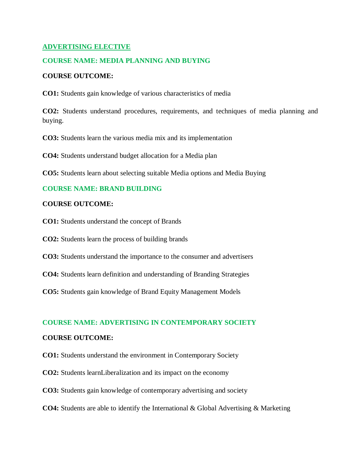# **ADVERTISING ELECTIVE**

### **COURSE NAME: MEDIA PLANNING AND BUYING**

### **COURSE OUTCOME:**

**CO1:** Students gain knowledge of various characteristics of media

**CO2:** Students understand procedures, requirements, and techniques of media planning and buying.

**CO3:** Students learn the various media mix and its implementation

**CO4:** Students understand budget allocation for a Media plan

**CO5:** Students learn about selecting suitable Media options and Media Buying

### **COURSE NAME: BRAND BUILDING**

### **COURSE OUTCOME:**

**CO1:** Students understand the concept of Brands

**CO2:** Students learn the process of building brands

**CO3:** Students understand the importance to the consumer and advertisers

**CO4:** Students learn definition and understanding of Branding Strategies

**CO5:** Students gain knowledge of Brand Equity Management Models

# **COURSE NAME: ADVERTISING IN CONTEMPORARY SOCIETY**

#### **COURSE OUTCOME:**

- **CO1:** Students understand the environment in Contemporary Society
- **CO2:** Students learnLiberalization and its impact on the economy
- **CO3:** Students gain knowledge of contemporary advertising and society
- **CO4:** Students are able to identify the International & Global Advertising & Marketing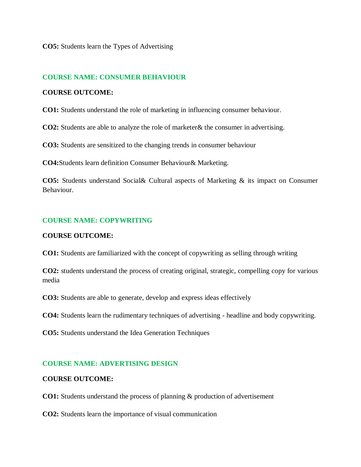**CO5:** Students learn the Types of Advertising

## **COURSE NAME: CONSUMER BEHAVIOUR**

#### **COURSE OUTCOME:**

**CO1:** Students understand the role of marketing in influencing consumer behaviour.

**CO2:** Students are able to analyze the role of marketer& the consumer in advertising.

**CO3:** Students are sensitized to the changing trends in consumer behaviour

**CO4:**Students learn definition Consumer Behaviour& Marketing.

**CO5:** Students understand Social& Cultural aspects of Marketing & its impact on Consumer Behaviour.

### **COURSE NAME: COPYWRITING**

#### **COURSE OUTCOME:**

**CO1:** Students are familiarized with the concept of copywriting as selling through writing

**CO2:** students understand the process of creating original, strategic, compelling copy for various media

**CO3:** Students are able to generate, develop and express ideas effectively

**CO4:** Students learn the rudimentary techniques of advertising - headline and body copywriting.

**CO5:** Students understand the Idea Generation Techniques

#### **COURSE NAME: ADVERTISING DESIGN**

#### **COURSE OUTCOME:**

**CO1:** Students understand the process of planning & production of advertisement

**CO2:** Students learn the importance of visual communication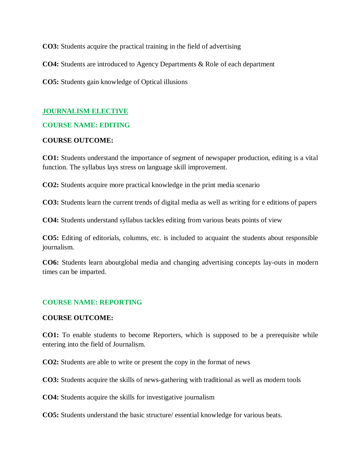**CO3:** Students acquire the practical training in the field of advertising

**CO4:** Students are introduced to Agency Departments & Role of each department

**CO5:** Students gain knowledge of Optical illusions

### **JOURNALISM ELECTIVE**

### **COURSE NAME: EDITING**

#### **COURSE OUTCOME:**

**CO1:** Students understand the importance of segment of newspaper production, editing is a vital function. The syllabus lays stress on language skill improvement.

**CO2:** Students acquire more practical knowledge in the print media scenario

**CO3:** Students learn the current trends of digital media as well as writing for e editions of papers

**CO4:** Students understand syllabus tackles editing from various beats points of view

**CO5:** Editing of editorials, columns, etc. is included to acquaint the students about responsible journalism.

**CO6:** Students learn aboutglobal media and changing advertising concepts lay-outs in modern times can be imparted.

### **COURSE NAME: REPORTING**

#### **COURSE OUTCOME:**

**CO1:** To enable students to become Reporters, which is supposed to be a prerequisite while entering into the field of Journalism.

**CO2:** Students are able to write or present the copy in the format of news

**CO3:** Students acquire the skills of news-gathering with traditional as well as modern tools

**CO4:** Students acquire the skills for investigative journalism

**CO5:** Students understand the basic structure/ essential knowledge for various beats.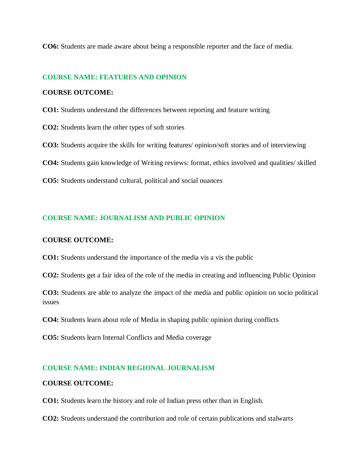**CO6:** Students are made aware about being a responsible reporter and the face of media.

#### **COURSE NAME: FEATURES AND OPINION**

#### **COURSE OUTCOME:**

**CO1:** Students understand the differences between reporting and feature writing

**CO2:** Students learn the other types of soft stories

**CO3:** Students acquire the skills for writing features/ opinion/soft stories and of interviewing

**CO4:** Students gain knowledge of Writing reviews: format, ethics involved and qualities/ skilled

**CO5:** Students understand cultural, political and social nuances

#### **COURSE NAME: JOURNALISM AND PUBLIC OPINION**

#### **COURSE OUTCOME:**

**CO1:** Students understand the importance of the media vis a vis the public

**CO2:** Students get a fair idea of the role of the media in creating and influencing Public Opinion

**CO3:** Students are able to analyze the impact of the media and public opinion on socio political issues

**CO4:** Students learn about role of Media in shaping public opinion during conflicts

**CO5:** Students learn Internal Conflicts and Media coverage

### **COURSE NAME: INDIAN REGIONAL JOURNALISM**

#### **COURSE OUTCOME:**

**CO1:** Students learn the history and role of Indian press other than in English.

**CO2:** Students understand the contribution and role of certain publications and stalwarts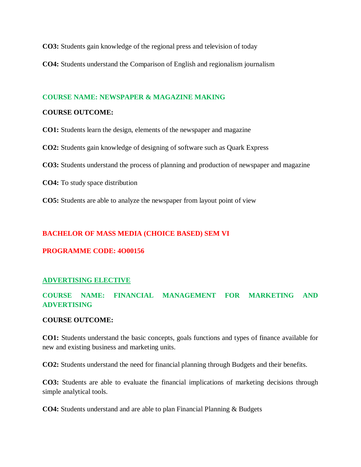**CO3:** Students gain knowledge of the regional press and television of today

**CO4:** Students understand the Comparison of English and regionalism journalism

### **COURSE NAME: NEWSPAPER & MAGAZINE MAKING**

#### **COURSE OUTCOME:**

**CO1:** Students learn the design, elements of the newspaper and magazine

**CO2:** Students gain knowledge of designing of software such as Quark Express

**CO3:** Students understand the process of planning and production of newspaper and magazine

**CO4:** To study space distribution

**CO5:** Students are able to analyze the newspaper from layout point of view

### **BACHELOR OF MASS MEDIA (CHOICE BASED) SEM VI**

# **PROGRAMME CODE: 4O00156**

#### **ADVERTISING ELECTIVE**

# **COURSE NAME: FINANCIAL MANAGEMENT FOR MARKETING AND ADVERTISING**

#### **COURSE OUTCOME:**

**CO1:** Students understand the basic concepts, goals functions and types of finance available for new and existing business and marketing units.

**CO2:** Students understand the need for financial planning through Budgets and their benefits.

**CO3:** Students are able to evaluate the financial implications of marketing decisions through simple analytical tools.

**CO4:** Students understand and are able to plan Financial Planning & Budgets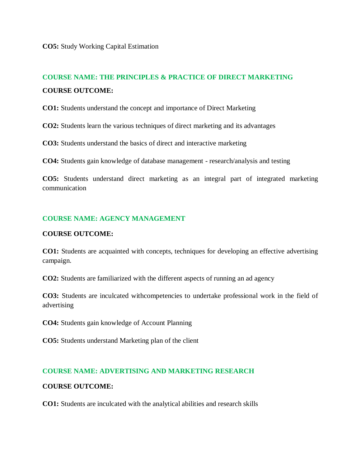**CO5:** Study Working Capital Estimation

# **COURSE NAME: THE PRINCIPLES & PRACTICE OF DIRECT MARKETING COURSE OUTCOME:**

**CO1:** Students understand the concept and importance of Direct Marketing

**CO2:** Students learn the various techniques of direct marketing and its advantages

**CO3:** Students understand the basics of direct and interactive marketing

**CO4:** Students gain knowledge of database management - research/analysis and testing

**CO5:** Students understand direct marketing as an integral part of integrated marketing communication

### **COURSE NAME: AGENCY MANAGEMENT**

#### **COURSE OUTCOME:**

**CO1:** Students are acquainted with concepts, techniques for developing an effective advertising campaign.

**CO2:** Students are familiarized with the different aspects of running an ad agency

**CO3:** Students are inculcated withcompetencies to undertake professional work in the field of advertising

**CO4:** Students gain knowledge of Account Planning

**CO5:** Students understand Marketing plan of the client

#### **COURSE NAME: ADVERTISING AND MARKETING RESEARCH**

#### **COURSE OUTCOME:**

**CO1:** Students are inculcated with the analytical abilities and research skills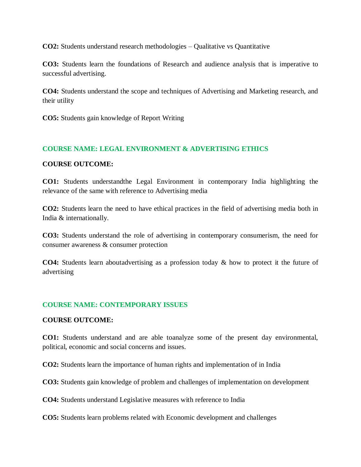**CO2:** Students understand research methodologies – Qualitative vs Quantitative

**CO3:** Students learn the foundations of Research and audience analysis that is imperative to successful advertising.

**CO4:** Students understand the scope and techniques of Advertising and Marketing research, and their utility

**CO5:** Students gain knowledge of Report Writing

# **COURSE NAME: LEGAL ENVIRONMENT & ADVERTISING ETHICS**

### **COURSE OUTCOME:**

**CO1:** Students understandthe Legal Environment in contemporary India highlighting the relevance of the same with reference to Advertising media

**CO2:** Students learn the need to have ethical practices in the field of advertising media both in India & internationally.

**CO3:** Students understand the role of advertising in contemporary consumerism, the need for consumer awareness & consumer protection

**CO4:** Students learn aboutadvertising as a profession today & how to protect it the future of advertising

### **COURSE NAME: CONTEMPORARY ISSUES**

### **COURSE OUTCOME:**

**CO1:** Students understand and are able toanalyze some of the present day environmental, political, economic and social concerns and issues.

**CO2:** Students learn the importance of human rights and implementation of in India

**CO3:** Students gain knowledge of problem and challenges of implementation on development

**CO4:** Students understand Legislative measures with reference to India

**CO5:** Students learn problems related with Economic development and challenges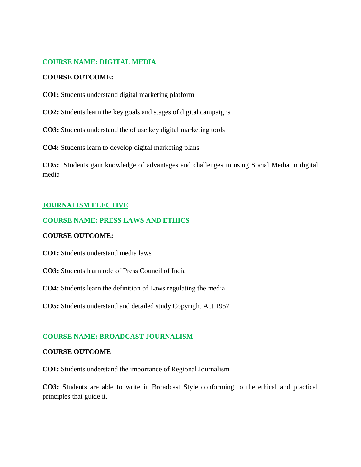### **COURSE NAME: DIGITAL MEDIA**

#### **COURSE OUTCOME:**

- **CO1:** Students understand digital marketing platform
- **CO2:** Students learn the key goals and stages of digital campaigns
- **CO3:** Students understand the of use key digital marketing tools

**CO4:** Students learn to develop digital marketing plans

**CO5:** Students gain knowledge of advantages and challenges in using Social Media in digital media

### **JOURNALISM ELECTIVE**

#### **COURSE NAME: PRESS LAWS AND ETHICS**

#### **COURSE OUTCOME:**

**CO1:** Students understand media laws

- **CO3:** Students learn role of Press Council of India
- **CO4:** Students learn the definition of Laws regulating the media

**CO5:** Students understand and detailed study Copyright Act 1957

#### **COURSE NAME: BROADCAST JOURNALISM**

#### **COURSE OUTCOME**

**CO1:** Students understand the importance of Regional Journalism.

**CO3:** Students are able to write in Broadcast Style conforming to the ethical and practical principles that guide it.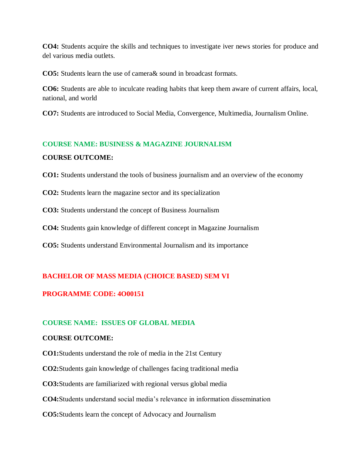**CO4:** Students acquire the skills and techniques to investigate iver news stories for produce and del various media outlets.

**CO5:** Students learn the use of camera& sound in broadcast formats.

**CO6:** Students are able to inculcate reading habits that keep them aware of current affairs, local, national, and world

**CO7:** Students are introduced to Social Media, Convergence, Multimedia, Journalism Online.

# **COURSE NAME: BUSINESS & MAGAZINE JOURNALISM COURSE OUTCOME:**

**CO1:** Students understand the tools of business journalism and an overview of the economy

**CO2:** Students learn the magazine sector and its specialization

**CO3:** Students understand the concept of Business Journalism

**CO4:** Students gain knowledge of different concept in Magazine Journalism

**CO5:** Students understand Environmental Journalism and its importance

### **BACHELOR OF MASS MEDIA (CHOICE BASED) SEM VI**

#### **PROGRAMME CODE: 4O00151**

#### **COURSE NAME: ISSUES OF GLOBAL MEDIA**

#### **COURSE OUTCOME:**

**CO1:**Students understand the role of media in the 21st Century

**CO2:**Students gain knowledge of challenges facing traditional media

**CO3:**Students are familiarized with regional versus global media

**CO4:**Students understand social media's relevance in information dissemination

**CO5:**Students learn the concept of Advocacy and Journalism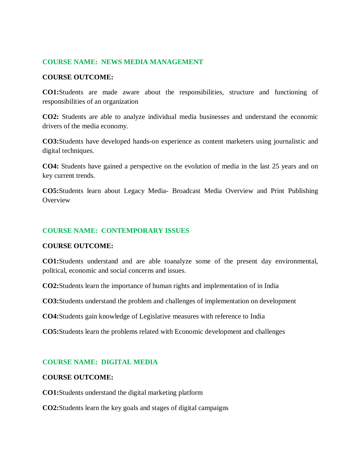#### **COURSE NAME: NEWS MEDIA MANAGEMENT**

#### **COURSE OUTCOME:**

**CO1:**Students are made aware about the responsibilities, structure and functioning of responsibilities of an organization

**CO2:** Students are able to analyze individual media businesses and understand the economic drivers of the media economy.

**CO3:**Students have developed hands-on experience as content marketers using journalistic and digital techniques.

**CO4:** Students have gained a perspective on the evolution of media in the last 25 years and on key current trends.

**CO5:**Students learn about Legacy Media- Broadcast Media Overview and Print Publishing **Overview** 

### **COURSE NAME: CONTEMPORARY ISSUES**

#### **COURSE OUTCOME:**

**CO1:**Students understand and are able toanalyze some of the present day environmental, political, economic and social concerns and issues.

**CO2:**Students learn the importance of human rights and implementation of in India

**CO3:**Students understand the problem and challenges of implementation on development

**CO4:**Students gain knowledge of Legislative measures with reference to India

**CO5:**Students learn the problems related with Economic development and challenges

#### **COURSE NAME: DIGITAL MEDIA**

#### **COURSE OUTCOME:**

**CO1:**Students understand the digital marketing platform

**CO2:**Students learn the key goals and stages of digital campaigns